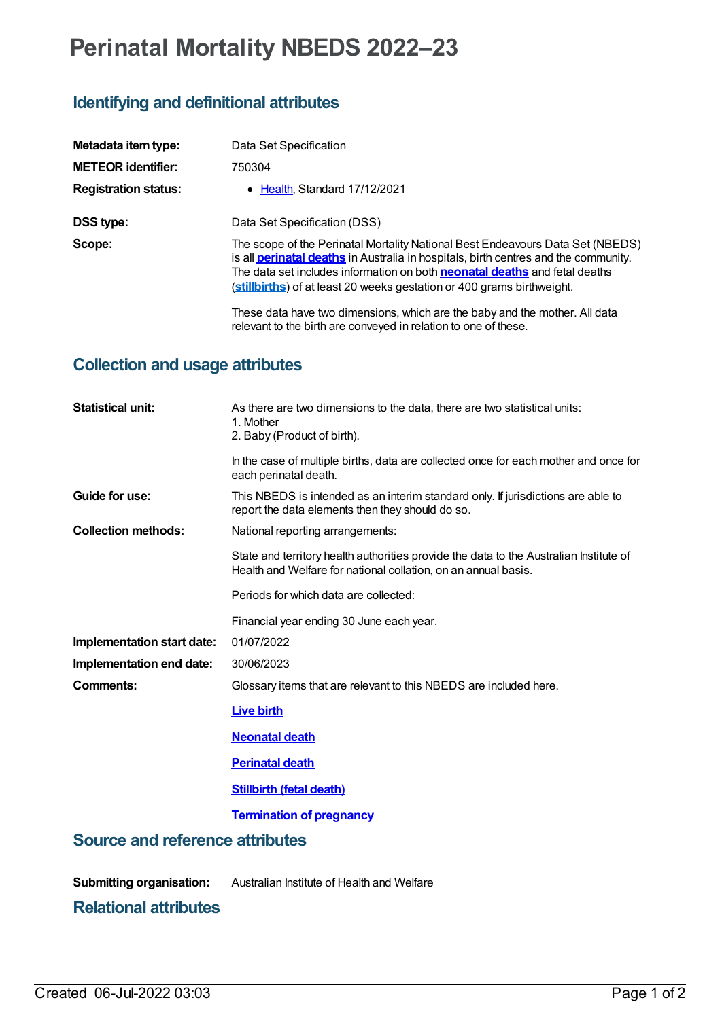# **Perinatal Mortality NBEDS 2022–23**

## **Identifying and definitional attributes**

| Metadata item type:         | Data Set Specification                                                                                                                                                                                                                                                                                                                      |
|-----------------------------|---------------------------------------------------------------------------------------------------------------------------------------------------------------------------------------------------------------------------------------------------------------------------------------------------------------------------------------------|
| <b>METEOR identifier:</b>   | 750304                                                                                                                                                                                                                                                                                                                                      |
| <b>Registration status:</b> | • Health Standard 17/12/2021                                                                                                                                                                                                                                                                                                                |
| DSS type:                   | Data Set Specification (DSS)                                                                                                                                                                                                                                                                                                                |
| Scope:                      | The scope of the Perinatal Mortality National Best Endeavours Data Set (NBEDS)<br>is all <b>perinatal deaths</b> in Australia in hospitals, birth centres and the community.<br>The data set includes information on both <b>neonatal deaths</b> and fetal deaths<br>(stillbirths) of at least 20 weeks gestation or 400 grams birthweight. |
|                             | These data have two dimensions, which are the baby and the mother. All data<br>relevant to the birth are conveyed in relation to one of these.                                                                                                                                                                                              |

#### **Collection and usage attributes**

| <b>Statistical unit:</b>               | As there are two dimensions to the data, there are two statistical units:<br>1. Mother<br>2. Baby (Product of birth).                                    |
|----------------------------------------|----------------------------------------------------------------------------------------------------------------------------------------------------------|
|                                        | In the case of multiple births, data are collected once for each mother and once for<br>each perinatal death.                                            |
| Guide for use:                         | This NBEDS is intended as an interim standard only. If jurisdictions are able to<br>report the data elements then they should do so.                     |
| <b>Collection methods:</b>             | National reporting arrangements:                                                                                                                         |
|                                        | State and territory health authorities provide the data to the Australian Institute of<br>Health and Welfare for national collation, on an annual basis. |
|                                        | Periods for which data are collected:                                                                                                                    |
|                                        | Financial year ending 30 June each year.                                                                                                                 |
| Implementation start date:             | 01/07/2022                                                                                                                                               |
| Implementation end date:               | 30/06/2023                                                                                                                                               |
| Comments:                              | Glossary items that are relevant to this NBEDS are included here.                                                                                        |
|                                        | <b>Live birth</b>                                                                                                                                        |
|                                        | <b>Neonatal death</b>                                                                                                                                    |
|                                        | <b>Perinatal death</b>                                                                                                                                   |
|                                        | <b>Stillbirth (fetal death)</b>                                                                                                                          |
|                                        | <b>Termination of pregnancy</b>                                                                                                                          |
| <b>Source and reference attributes</b> |                                                                                                                                                          |
| <b>Submitting organisation:</b>        | Australian Institute of Health and Welfare                                                                                                               |

### **Relational attributes**